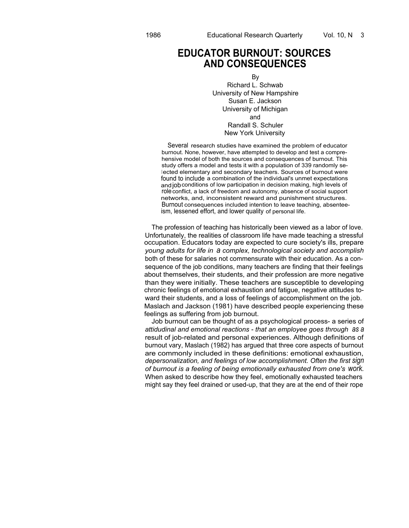## **EDUCATOR BURNOUT: SOURCES AND CONSEQUENCES**

By Richard L. Schwab University of New Hampshire Susan E. Jackson University of Michigan and Randall S. Schuler New York University

Several research studies have examined the problem of educator burnout. None, however, have attempted to develop and test a comprehensive model of both the sources and consequences of burnout. This study offers a model and tests it with a population of 339 randomly selected elementary and secondary teachers. Sources of burnout were found to include a combination of the individual's unmet expectations and job conditions of low participation in decision making, high levels of roleconflict, a lack of freedom and autonomy, absence of social support networks, and, inconsistent reward and punishment structures. Burnout consequences included intention to leave teaching, absenteeism, lessened effort, and lower quality of personal life.

The profession of teaching has historically been viewed as a labor of love. Unfortunately, the realities of classroom life have made teaching a stressful occupation. Educators today are expected to cure society's ills, prepare *young adults for life in a complex, technological society and accomplish* both of these for salaries not commensurate with their education. As a consequence of the job conditions, many teachers are finding that their feelings about themselves, their students, and their profession are more negative than they were initially. These teachers are susceptible to developing chronic feelings of emotional exhaustion and fatigue, negative attitudes toward their students, and a loss of feelings of accomplishment on the job. Maslach and Jackson (1981) have described people experiencing these feelings as suffering from job burnout.

Job burnout can be thought of as a psychological process- a series of *attidudinal and emotional reactions - that an employee goes through as a* result of job-related and personal experiences. Although definitions of burnout vary, Maslach (1982) has argued that three core aspects of burnout are commonly included in these definitions: emotional exhaustion, *depersonalization, and feelings of low accomplishment. Often the first sign of burnout is a feeling of being emotionally exhausted from one's work.* When asked to describe how they feel, emotionally exhausted teachers might say they feel drained or used-up, that they are at the end of their rope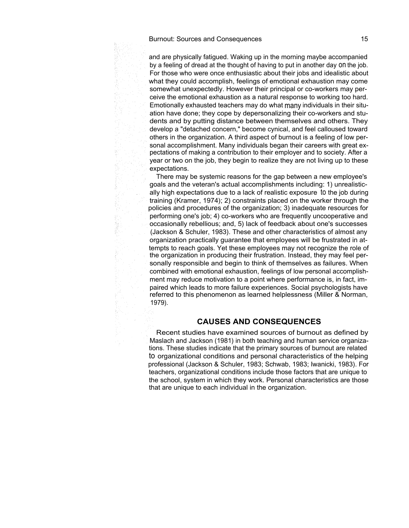and are physically fatigued. Waking up in the morning maybe accompanied by a feeling of dread at the thought of having to put in another day on the job. For those who were once enthusiastic about their jobs and idealistic about what they could accomplish, feelings of emotional exhaustion may come somewhat unexpectedly. However their principal or co-workers may perceive the emotional exhaustion as a natural response to working too hard. Emotionally exhausted teachers may do what many individuals in their situation have done; they cope by depersonalizing their co-workers and students and by putting distance between themselves and others. They develop a "detached concern," become cynical, and feel calloused toward others in the organization. A third aspect of burnout is a feeling of low personal accomplishment. Many individuals began their careers with great expectations of making a contribution to their employer and to society. After a year or two on the job, they begin to realize they are not living up to these expectations.

There may be systemic reasons for the gap between a new employee's goals and the veteran's actual accomplishments including: 1) unrealistically high expectations due to a lack of realistic exposure to the job during training (Kramer, 1974); 2) constraints placed on the worker through the policies and procedures of the organization; 3) inadequate resources for performing one's job; 4) co-workers who are frequently uncooperative and occasionally rebellious; and, 5) lack of feedback about one's successes (Jackson & Schuler, 1983). These and other characteristics of almost any organization practically guarantee that employees will be frustrated in attempts to reach goals. Yet these employees may not recognize the role of the organization in producing their frustration. Instead, they may feel personally responsible and begin to think of themselves as failures. When combined with emotional exhaustion, feelings of low personal accomplishment may reduce motivation to a point where performance is, in fact, impaired which leads to more failure experiences. Social psychologists have referred to this phenomenon as learned helplessness (Miller & Norman, 1979).

#### **CAUSES AND CONSEQUENCES**

Recent studies have examined sources of burnout as defined by Maslach and Jackson (1981) in both teaching and human service organizations. These studies indicate that the primary sources of burnout are related to organizational conditions and personal characteristics of the helping professional (Jackson & Schuler, 1983; Schwab, 1983; Iwanicki, 1983). For teachers, organizational conditions include those factors that are unique to the school, system in which they work. Personal characteristics are those that are unique to each individual in the organization.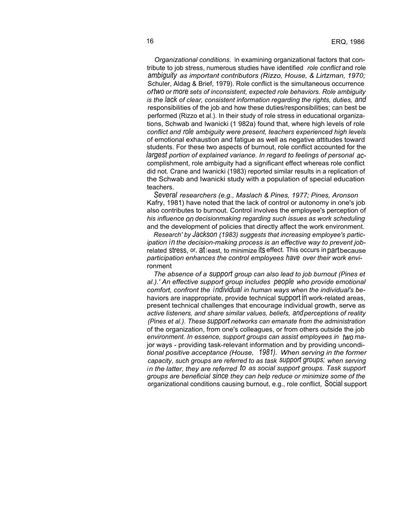*Organizational conditions.* In examining organizational factors that contribute to job stress, numerous studies have identified *role conflict* and role *ambiguity as important contributors (Rizzo, House, & Lirtzman, 1970;* Schuler, Aldag & Brief, 1979). Role conflict is the simultaneous occurrence *oftwo or more sets of inconsistent, expected role behaviors. Role ambiguity is the lack of clear, consistent information regarding the rights, duties, and* responsibilities of the job and how these duties/responsibilities; can best be performed (Rizzo et al.). In their study of role stress in educational organizations, Schwab and Iwanicki (1 982a) found that, where high levels of role *conflict and role ambiguity were present, teachers experienced high levels* of emotional exhaustion and fatigue as well as negative attitudes toward students. For these two aspects of burnout, role conflict accounted for the *largest portion of explained variance. In regard to feelings of personal ac*complishment, role ambiguity had a significant effect whereas role conflict did not. Crane and Iwanicki (1983) reported similar results in a replication of the Schwab and Iwanicki study with a population of special education teachers.

*Several researchers (e.g., Maslach & Pines, 1977; Pines, Aronson* Kafry, 1981) have noted that the lack of control or autonomy in one's job also contributes to burnout. Control involves the employee's perception of *his influence on decisionmaking regarding such issues as work scheduling* and the development of policies that directly affect the work environment.

*Research' by Jackson (1983) suggests that increasing employee's participation in the decision-making process is an effective way to prevent job*related stress, or,  $at$  least, to minimize its effect. This occurs in part because *participation enhances the control employees have over their work envi*ronment

*The absence of a support group can also lead to job burnout (Pines et al.).' An effective support group includes people who provide emotional comfort, confront the individual in human ways when the individual's be*haviors are inappropriate, provide technical support in work-related areas, present technical challenges that encourage individual growth, serve as *active listeners, and share similar values, beliefs, andperceptions of reality (Pines et al.). These support networks can emanate from the administration* of the organization, from one's colleagues, or from others outside the job *environment. In essence, support groups can assist employees in two ma*jor ways - providing task-relevant information and by providing uncondi*tional positive acceptance (House, 1981). When serving in the former capacity, such groups are referred to as task support groups; when serving in the latter, they are referred to as social support groups. Task support groups are beneficial since they can help reduce or minimize some of the* organizational conditions causing burnout, e.g., role conflict, Social support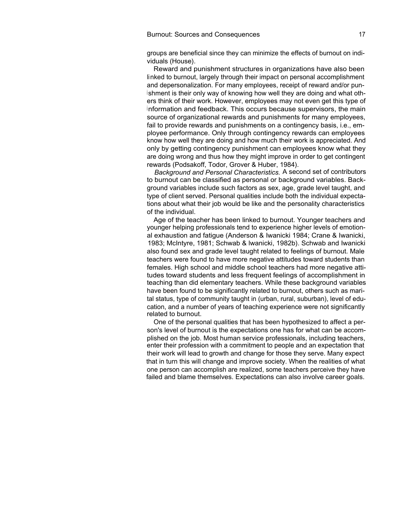groups are beneficial since they can minimize the effects of burnout on individuals (House).

Reward and punishment structures in organizations have also been linked to burnout, largely through their impact on personal accomplishment and depersonalization. For many employees, receipt of reward and/or pun<sup>i</sup> shment is their only way of knowing how well they are doing and what others think of their work. However, employees may not even get this type of information and feedback. This occurs because supervisors, the main source of organizational rewards and punishments for many employees, fail to provide rewards and punishments on a contingency basis, i.e., employee performance. Only through contingency rewards can employees know how well they are doing and how much their work is appreciated. And only by getting contingency punishment can employees know what they are doing wrong and thus how they might improve in order to get contingent rewards (Podsakoff, Todor, Grover & Huber, 1984).

*Background and Personal Characteristics.* A second set of contributors to burnout can be classified as personal or background variables. Background variables include such factors as sex, age, grade level taught, and type of client served. Personal qualities include both the individual expectations about what their job would be like and the personality characteristics of the individual.

Age of the teacher has been linked to burnout. Younger teachers and younger helping professionals tend to experience higher levels of emotional exhaustion and fatigue (Anderson & Iwanicki 1984; Crane & Iwanicki, 1983; McIntyre, 1981; Schwab & lwanicki, 1982b). Schwab and Iwanicki also found sex and grade level taught related to feelings of burnout. Male teachers were found to have more negative attitudes toward students than females. High school and middle school teachers had more negative attitudes toward students and less frequent feelings of accomplishment in teaching than did elementary teachers. While these background variables have been found to be significantly related to burnout, others such as marital status, type of community taught in (urban, rural, suburban), level of education, and a number of years of teaching experience were not significantly related to burnout.

One of the personal qualities that has been hypothesized to affect a person's level of burnout is the expectations one has for what can be accomplished on the job. Most human service professionals, including teachers, enter their profession with a commitment to people and an expectation that their work will lead to growth and change for those they serve. Many expect that in turn this will change and improve society. When the realities of what one person can accomplish are realized, some teachers perceive they have failed and blame themselves. Expectations can also involve career goals.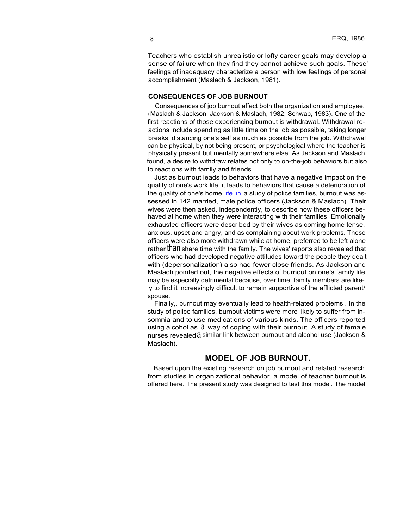Teachers who establish unrealistic or lofty career goals may develop a sense of failure when they find they cannot achieve such goals. These' feelings of inadequacy characterize a person with low feelings of personal accomplishment (Maslach & Jackson, 1981).

#### **CONSEQUENCES OF JOB BURNOUT**

Consequences of job burnout affect both the organization and employee. (Maslach & Jackson; Jackson & Maslach, 1982; Schwab, 1983). One of the first reactions of those experiencing burnout is withdrawal. Withdrawal reactions include spending as little time on the job as possible, taking longer breaks, distancing one's self as much as possible from the job. Withdrawal can be physical, by not being present, or psychological where the teacher is physically present but mentally somewhere else. As Jackson and Maslach found, a desire to withdraw relates not only to on-the-job behaviors but also to reactions with family and friends.

Just as burnout leads to behaviors that have a negative impact on the quality of one's work life, it leads to behaviors that cause a deterioration of the quality of one's home [life. in](http://life.in) a study of police families, burnout was assessed in 142 married, male police officers (Jackson & Maslach). Their wives were then asked, independently, to describe how these officers behaved at home when they were interacting with their families. Emotionally exhausted officers were described by their wives as coming home tense, anxious, upset and angry, and as complaining about work problems. These officers were also more withdrawn while at home, preferred to be left alone rather **than** share time with the family. The wives' reports also revealed that officers who had developed negative attitudes toward the people they dealt with (depersonalization) also had fewer close friends. As Jackson and Maslach pointed out, the negative effects of burnout on one's family life may be especially detrimental because, over time, family members are likely to find it increasingly difficult to remain supportive of the afflicted parent/ spouse.

Finally,, burnout may eventually lead to health-related problems . In the study of police families, burnout victims were more likely to suffer from insomnia and to use medications of various kinds. The officers reported using alcohol as  $\theta$  way of coping with their burnout. A study of female nurses revealed a similar link between burnout and alcohol use (Jackson & Maslach).

### **MODEL OF JOB BURNOUT.**

Based upon the existing research on job burnout and related research from studies in organizational behavior, a model of teacher burnout is offered here. The present study was designed to test this model. The model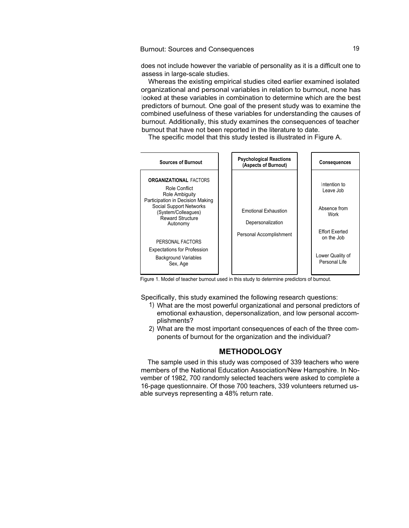Burnout: Sources and Consequences

does not include however the variable of personality as it is a difficult one to assess in large-scale studies.

Whereas the existing empirical studies cited earlier examined isolated organizational and personal variables in relation to burnout, none has looked at these variables in combination to determine which are the best predictors of burnout. One goal of the present study was to examine the combined usefulness of these variables for understanding the causes of burnout. Additionally, this study examines the consequences of teacher burnout that have not been reported in the literature to date.

The specific model that this study tested is illustrated in Figure A.



Figure 1. Model of teacher burnout used in this study to determine predictors of burnout.

Specifically, this study examined the following research questions:

- 1) What are the most powerful organizational and personal predictors of emotional exhaustion, depersonalization, and low personal accomplishments?
- 2) What are the most important consequences of each of the three components of burnout for the organization and the individual?

#### **METHODOLOGY**

The sample used in this study was composed of 339 teachers who were members of the National Education Association/New Hampshire. In November of 1982, 700 randomly selected teachers were asked to complete a 16-page questionnaire. Of those 700 teachers, 339 volunteers returned usable surveys representing a 48% return rate.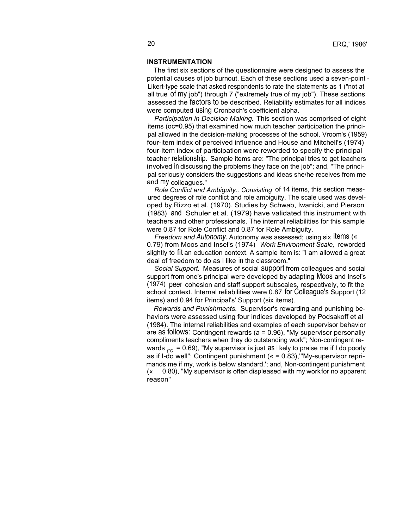#### **INSTRUMENTATION**

The first six sections of the questionnaire were designed to assess the potential causes of job burnout. Each of these sections used a seven-point - Likert-type scale that asked respondents to rate the statements as 1 ("not at all true of my job") through 7 ("extremely true of my job"). These sections assessed the factors to be described. Reliability estimates for all indices were computed using Cronbach's coefficient alpha.

*Participation in Decision Making.* This section was comprised of eight items (oc=0.95) that examined how much teacher participation the principal allowed in the decision-making processes of the school. Vroom's (1959) four-item index of perceived influence and House and Mitchell's (1974) four-item index of participation were reworded to specify the principal teacher relationship. Sample items are: "The principal tries to get teachers involved in discussing the problems they face on the job"; and, "The principal seriously considers the suggestions and ideas she/he receives from me and my colleagues."

*Role Conflict and Ambiguity.. Consisting* of 14 items, this section measured degrees of role conflict and role ambiguity. The scale used was developed by,Rizzo et al. (1970). Studies by Schwab, Iwanicki, and Pierson (1983) and Schuler et al. (1979) have validated this instrument with teachers and other professionals. The internal reliabilities for this sample were 0.87 for Role Conflict and 0.87 for Role Ambiguity.

*Freedom and Autonomy.* Autonomy was assessed; using six items (« 0.79) from Moos and Insel's (1974) *Work Environment Scale,* reworded slightly to fit an education context. A sample item is: "I am allowed a great deal of freedom to do as I like in the classroom."

*Social Support.* Measures of social support from colleagues and social support from one's principal were developed by adapting Moos and Insel's (1974) peer cohesion and staff support subscales, respectively, to fit the school context. Internal reliabilities were 0.87 for Colleague's Support (12 items) and 0.94 for Principal's' Support (six items).

*Rewards and Punishments.* Supervisor's rewarding and punishing behaviors were assessed using four indices developed by Podsakoff et al (1984). The internal reliabilities and examples of each supervisor behavior are as follows: Contingent rewards (a = 0.96), "My supervisor personally compliments teachers when they do outstanding work"; Non-contingent rewards  $_{\text{ec}}$  = 0.69), "My supervisor is just as likely to praise me if I do poorly as if I-do well"; Contingent punishment (« = 0.83),'"My-supervisor reprimands me if my, work is below standard.'; and, Non-contingent punishment (« 0.80), "My supervisor is often displeased with my workfor no apparent reason"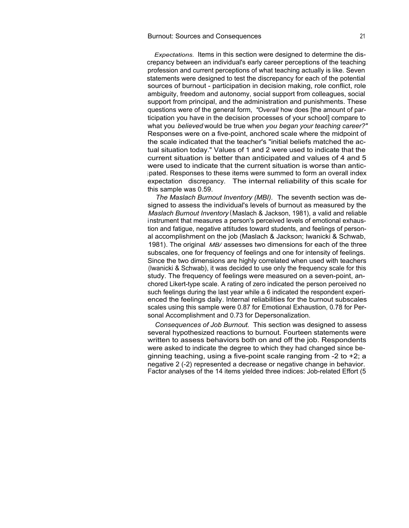#### Burnout: Sources and Consequences <sup>21</sup>

*Expectations.* Items in this section were designed to determine the discrepancy between an individual's early career perceptions of the teaching profession and current perceptions of what teaching actually is like. Seven statements were designed to test the discrepancy for each of the potential sources of burnout - participation in decision making, role conflict, role ambiguity, freedom and autonomy, social support from colleagues, social support from principal, and the administration and punishments. These questions were of the general form, *"Overall* how does [the amount of participation you have in the decision processes of your school] compare to what you *believed* would be true when *you began your teaching career?"* Responses were on a five-point, anchored scale where the midpoint of the scale indicated that the teacher's "initial beliefs matched the actual situation today." Values of 1 and 2 were used to indicate that the current situation is better than anticipated and values of 4 and 5 were used to indicate that the current situation is worse than antic<sup>i</sup> pated. Responses to these items were summed to form an overall index expectation discrepancy. The internal reliability of this scale for this sample was 0.59.

*The Maslach Burnout Inventory (MBI).* The seventh section was designed to assess the individual's levels of burnout as measured by the *Maslach Burnout Inventory* (Maslach & Jackson, 1981), a valid and reliable instrument that measures a person's perceived levels of emotional exhaustion and fatigue, negative attitudes toward students, and feelings of personal accomplishment on the job (Maslach & Jackson; Iwanicki & Schwab, 1981). The original *MB/* assesses two dimensions for each of the three subscales, one for frequency of feelings and one for intensity of feelings. Since the two dimensions are highly correlated when used with teachers (Iwanicki & Schwab), it was decided to use only the frequency scale for this study. The frequency of feelings were measured on a seven-point, anchored Likert-type scale. A rating of zero indicated the person perceived no such feelings during the last year while a 6 indicated the respondent experienced the feelings daily. Internal reliabilities for the burnout subscales scales using this sample were 0.87 for Emotional Exhaustion, 0.78 for Personal Accomplishment and 0.73 for Depersonalization.

*Consequences of Job Burnout.* This section was designed to assess several hypothesized reactions to burnout. Fourteen statements were written to assess behaviors both on and off the job. Respondents were asked to indicate the degree to which they had changed since beginning teaching, using a five-point scale ranging from -2 to +2; a negative 2 (-2) represented a decrease or negative change in behavior. Factor analyses of the 14 items yielded three indices: Job-related Effort (5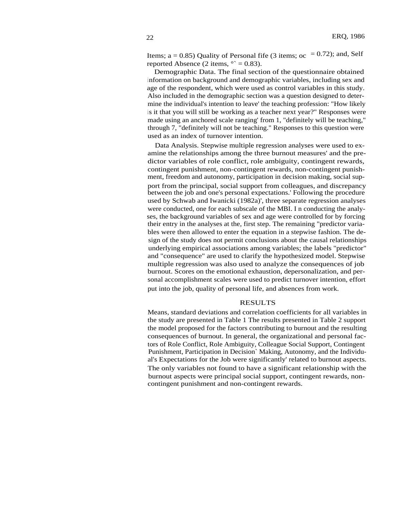Items;  $a = 0.85$ ) Quality of Personal fife (3 items;  $oc = 0.72$ ); and, Self reported Absence (2 items,  $\degree$  = 0.83).

Demographic Data. The final section of the questionnaire obtained information on background and demographic variables, including sex and age of the respondent, which were used as control variables in this study. Also included in the demographic section was a question designed to determine the individual's intention to leave' the teaching profession: "How likely is it that you will still be working as a teacher next year?" Responses were made using an anchored scale ranging' from 1, "definitely will be teaching," through 7, "definitely will not be teaching." Responses to this question were used as an index of turnover intention.

Data Analysis. Stepwise multiple regression analyses were used to examine the relationships among the three burnout measures' and the predictor variables of role conflict, role ambiguity, contingent rewards, contingent punishment, non-contingent rewards, non-contingent punishment, freedom and autonomy, participation in decision making, social support from the principal, social support from colleagues, and discrepancy between the job and one's personal expectations.' Following the procedure used by Schwab and Iwanicki (1982a)', three separate regression analyses were conducted, one for each subscale of the MBI. I n conducting the analyses, the background variables of sex and age were controlled for by forcing their entry in the analyses at the, first step. The remaining "predictor variables were then allowed to enter the equation in a stepwise fashion. The design of the study does not permit conclusions about the causal relationships underlying empirical associations among variables; the labels "predictor" and "consequence" are used to clarify the hypothesized model. Stepwise multiple regression was also used to analyze the consequences of job burnout. Scores on the emotional exhaustion, depersonalization, and personal accomplishment scales were used to predict turnover intention, effort put into the job, quality of personal life, and absences from work.

#### RESULTS

Means, standard deviations and correlation coefficients for all variables in the study are presented in Table 1 The results presented in Table 2 support the model proposed for the factors contributing to burnout and the resulting consequences of burnout. In general, the organizational and personal factors of Role Conflict, Role Ambiguity, Colleague Social Support, Contingent Punishment, Participation in Decision` Making, Autonomy, and the Individual's Expectations for the Job were significantly' related to burnout aspects. The only variables not found to have a significant relationship with the burnout aspects were principal social support, contingent rewards, noncontingent punishment and non-contingent rewards.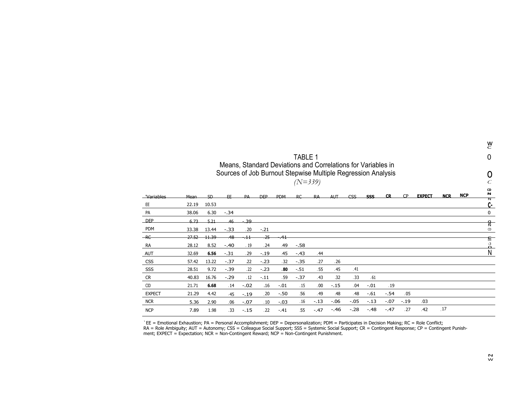|               |       |                 |        |         |            |            |           |        |            |                                                                                                                              |        |           |           |               |            |            | $_{\rm c}^{\rm w}$  |
|---------------|-------|-----------------|--------|---------|------------|------------|-----------|--------|------------|------------------------------------------------------------------------------------------------------------------------------|--------|-----------|-----------|---------------|------------|------------|---------------------|
|               |       |                 |        |         |            |            | TABLE 1   |        |            |                                                                                                                              |        |           |           |               |            |            | 0                   |
|               |       |                 |        |         |            |            |           |        |            | Means, Standard Deviations and Correlations for Variables in<br>Sources of Job Burnout Stepwise Multiple Regression Analysis |        |           |           |               |            |            |                     |
|               |       |                 |        |         |            |            | $(N=339)$ |        |            |                                                                                                                              |        |           |           |               |            |            | Ċ                   |
| _Variables    | Mean  | SD <sub>-</sub> | FF.    | PA      | <b>DEP</b> | <b>PDM</b> | RC        | RA     | <b>AUT</b> | $\mathsf{CSS}$                                                                                                               | SSS    | <b>CR</b> | <b>CP</b> | <b>EXPECT</b> | <b>NCR</b> | <b>NCP</b> | CD<br>N             |
| EE            | 22.19 | 10.53           |        |         |            |            |           |        |            |                                                                                                                              |        |           |           |               |            |            | Z<br>C-             |
| PA            | 38.06 | 6.30            | $-.34$ |         |            |            |           |        |            |                                                                                                                              |        |           |           |               |            |            | 0                   |
| <b>DEP</b>    | 6.73  | 5.21            | 46     | $-39$   |            |            |           |        |            |                                                                                                                              |        |           |           |               |            |            | ष्ट्र<br>र          |
| PDM           | 33.38 | 13.44           | $-.33$ | .20     | $-.21$     |            |           |        |            |                                                                                                                              |        |           |           |               |            |            | CD                  |
| $-RC$         | 27.52 | 11.39           | $-48$  | $\pm 1$ | $-25$      | .41        |           |        |            |                                                                                                                              |        |           |           |               |            |            | ति                  |
| RA            | 28.12 | 8.52            | $-.40$ | . 19    | .24        | .49        | $-.58$    |        |            |                                                                                                                              |        |           |           |               |            |            | $\ddot{\mathbf{a}}$ |
| <b>AUT</b>    | 32.69 | 6.56            | $-.31$ | .29     | $-.19$     | .45        | $-.43$    | .44    |            |                                                                                                                              |        |           |           |               |            |            | Ν                   |
| <b>CSS</b>    | 57.42 | 13.22           | $-.37$ | .22     | $-.23$     | .32        | $-.35$    | .27    | .26        |                                                                                                                              |        |           |           |               |            |            |                     |
| SSS           | 28.51 | 9.72            | $-.39$ | .22     | $-.23$     | .80        | $-.51$    | .55    | .45        | .41                                                                                                                          |        |           |           |               |            |            |                     |
| <b>CR</b>     | 40.83 | 16.76           | $-.29$ | .12     | $-.11$     | .59        | $-.37$    | .43    | 32         | .33                                                                                                                          | .61    |           |           |               |            |            |                     |
| CID           | 21.71 | 6.68            | .14    | $-.02$  | .16        | $-.01$     | .15       | .00    | $-.15$     | .04                                                                                                                          | $-.01$ | .19       |           |               |            |            |                     |
| <b>EXPECT</b> | 21.29 | 4.42            | .45    | $-.19$  | .20        | $-.50$     | .56       | .49    | .48        | .48                                                                                                                          | $-.61$ | $-.54$    | .05       |               |            |            |                     |
| <b>NCR</b>    | 5.36  | 2.90            | .06    | $-.07$  | .10        | $-.03$     | .16       | $-.13$ | $-.06$     | $-.05$                                                                                                                       | $-.13$ | $-.07$    | $-.19$    | .03           |            |            |                     |
| <b>NCP</b>    | 7.89  | 1.98            | .33    | $-.15$  | .22        | $-.41$     | .55       | $-.47$ | $-.46$     | $-.28$                                                                                                                       | $-.48$ | $-.47$    | .27       | .42           | .17        |            |                     |

`EE = Emotional Exhaustion; PA = Personal Accomplishment; DEP = Depersonalization; PDM = Participates in Decision Making; RC = Role Conflict; RA = Role Ambiguity; AUT = Autonomy; CSS = Colleague Social Support; SSS = Systemic Social Support; CR = Contingent Response; CP = Contingent Punish-<br>ment; EXPECT = Expectation; NCR = Non-Contingent Reward; NCP = Non-Conti

N W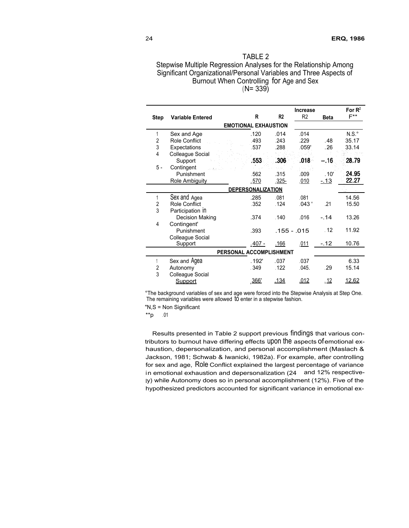| TARI F 2                                                           |
|--------------------------------------------------------------------|
| Stepwise Multiple Regression Analyses for the Relationship Among   |
| Significant Organizational/Personal Variables and Three Aspects of |
| Burnout When Controlling for Age and Sex                           |
| $(N = 339)$                                                        |

|                             | <b>Increase</b>          |                |                |                |             |                  |  |  |  |  |  |
|-----------------------------|--------------------------|----------------|----------------|----------------|-------------|------------------|--|--|--|--|--|
| <b>Step</b>                 | <b>Variable Entered</b>  | R              | R <sub>2</sub> | R <sub>2</sub> | <b>Beta</b> | $F^{\star\star}$ |  |  |  |  |  |
| <b>EMOTIONAL EXHAUSTION</b> |                          |                |                |                |             |                  |  |  |  |  |  |
| 1                           | Sex and Age              | .120           | .014           | .014           |             | $N.S.^{\circ}$   |  |  |  |  |  |
| $\overline{2}$              | Role Conflict            | .493           | .243           | .229           | .48         | 35.17            |  |  |  |  |  |
| 3                           | Expectations             | .537           | .288           | .059'          | .26         | 33.14            |  |  |  |  |  |
| $\overline{4}$              | Colleague Social         |                |                |                |             |                  |  |  |  |  |  |
|                             | Support                  | .553           | .306           | $.018 -$       | -.16        | 28.79            |  |  |  |  |  |
| 5 -                         | Contingent               |                |                |                |             |                  |  |  |  |  |  |
|                             | Punishment               | .562           | .315           | .009           | .10'        | 24.95            |  |  |  |  |  |
|                             | <b>Role Ambiguity</b>    | <u>.570</u>    | $.325 -$       | .010           | $-13$       | 22.27            |  |  |  |  |  |
|                             | <b>DEPERSONALIZATION</b> |                |                |                |             |                  |  |  |  |  |  |
| 1                           | Sex and Agea             | .285           | .081           | .081           |             | 14.56            |  |  |  |  |  |
| 2                           | Role Conflict            | .352           | .124           | .043'          | .21         | 15.50            |  |  |  |  |  |
| 3                           | Participation In         |                |                |                |             |                  |  |  |  |  |  |
|                             | <b>Decision Making</b>   | .374           | .140           | .016           | $-.14$      | 13.26            |  |  |  |  |  |
| 4                           | Contingent'              |                |                |                |             |                  |  |  |  |  |  |
|                             | Punishment               | .393           | .155 - .015    |                | .12         | 11.92            |  |  |  |  |  |
|                             | Colleague Social         |                |                |                |             |                  |  |  |  |  |  |
|                             | Support                  | <u>.407 - </u> | .166           | .011           | $-.12$      | 10.76            |  |  |  |  |  |
| PERSONAL ACCOMPLISHMENT     |                          |                |                |                |             |                  |  |  |  |  |  |
|                             | Sex and Agea             | .192'          | .037           | .037           |             | 6.33             |  |  |  |  |  |
| 2                           | Autonomy                 | .349           | .122           | .045.          | .29         | 15.14            |  |  |  |  |  |
| 3                           | Colleague Social         |                |                |                |             |                  |  |  |  |  |  |
|                             | <b>Support</b>           | 366            | .134           | .012           | .12         | 12.62            |  |  |  |  |  |

°The background variables of sex and age were forced into the Stepwise Analysis at Step One. The remaining variables were allowed to enter in a stepwise fashion.

"N,S = Non Significant

 $*$ \*p .01

Results presented in Table 2 support previous findings that various contributors to burnout have differing effects upon the aspects ofemotional exhaustion, depersonalization, and personal accomplishment (Maslach & Jackson, 1981; Schwab & Iwanicki, 1982a). For example, after controlling for sex and age, Role Conflict explained the largest percentage of variance in emotional exhaustion and depersonalization (24 and 12% respectively) while Autonomy does so in personal accomplishment (12%). Five of the hypothesized predictors accounted for significant variance in emotional ex-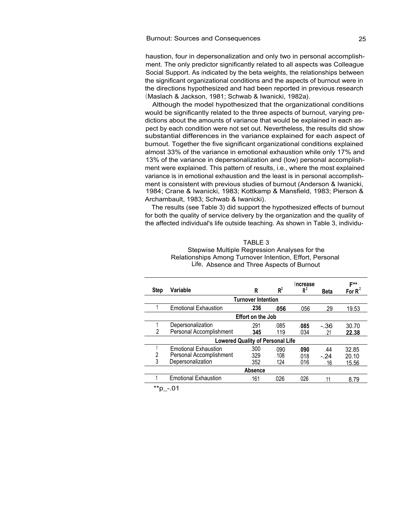haustion, four in depersonalization and only two in personal accomplishment. The only predictor significantly related to all aspects was Colleague Social Support. As indicated by the beta weights, the relationships between the significant organizational conditions and the aspects of burnout were in the directions hypothesized and had been reported in previous research (Maslach & Jackson, 1981; Schwab & Iwanicki, 1982a).

Although the model hypothesized that the organizational conditions would be significantly related to the three aspects of burnout, varying predictions about the amounts of variance that would be explained in each aspect by each condition were not set out. Nevertheless, the results did show substantial differences in the variance explained for each aspect of burnout. Together the five significant organizational conditions explained almost 33% of the variance in emotional exhaustion while only 17% and 13% of the variance in depersonalization and (low) personal accomplishment were explained. This pattern of results, i.e., where the most explained variance is in emotional exhaustion and the least is in personal accomplishment is consistent with previous studies of burnout (Anderson & Iwanicki, 1984; Crane & Iwanicki, 1983; Kottkamp & Mansfield, 1983; Pierson & Archambault, 1983; Schwab & Iwanicki).

The results (see Table 3) did support the hypothesized effects of burnout for both the quality of service delivery by the organization and the quality of the affected individual's life outside teaching. As shown in Table 3, individu-

#### Stepwise Multiple Regression Analyses for the Relationships Among Turnover Intention, Effort, Personal Life, Absence and Three Aspects of Burnout

| <b>Step</b>               | Variable                                | R       | $R^2$ | Increase<br>$R^2$ | <b>Beta</b> | F**<br>For $R'$ |  |  |  |  |
|---------------------------|-----------------------------------------|---------|-------|-------------------|-------------|-----------------|--|--|--|--|
| <b>Turnover Intention</b> |                                         |         |       |                   |             |                 |  |  |  |  |
|                           | <b>Emotional Exhaustion</b>             | .236    | .056  | .056              | .29         | 19.53           |  |  |  |  |
| <b>Effort on the Job</b>  |                                         |         |       |                   |             |                 |  |  |  |  |
|                           | Depersonalization                       | .291    | .085  | .085              | -.36        | 30.70           |  |  |  |  |
| 2                         | Personal Accomplishment                 | . 345   | .119  | .034              | .21         | 22.38           |  |  |  |  |
|                           | <b>Lowered Quality of Personal Life</b> |         |       |                   |             |                 |  |  |  |  |
|                           | <b>Emotional Exhaustion</b>             | .300    | .090  | .090              | .44         | 32.85           |  |  |  |  |
| 2                         | Personal Accomplishment                 | .329    | .108  | .018              | $-24$       | 20.10           |  |  |  |  |
| 3                         | Depersonalization                       | .352    | .124  | .016              | . 16        | 15.56           |  |  |  |  |
|                           |                                         | Absence |       |                   |             |                 |  |  |  |  |
|                           | <b>Emotional Exhaustion</b>             | .161    | .026  | .026              | .11         | 8.79            |  |  |  |  |
|                           |                                         |         |       |                   |             |                 |  |  |  |  |

\*\*p\_-.01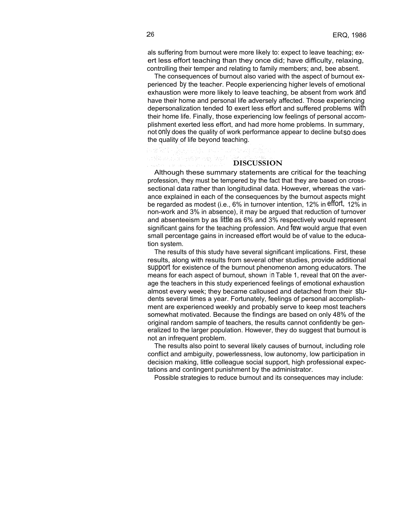als suffering from burnout were more likely to: expect to leave teaching; exert less effort teaching than they once did; have difficulty, relaxing, controlling their temper and relating to family members; and, bee absent.

The consequences of burnout also varied with the aspect of burnout experienced by the teacher. People experiencing higher levels of emotional exhaustion were more likely to leave teaching, be absent from work and have their home and personal life adversely affected. Those experiencing depersonalization tended to exert less effort and suffered problems with their home life. Finally, those experiencing low feelings of personal accomplishment exerted less effort, and had more home problems. In summary, not only does the quality of work performance appear to decline butso does the quality of life beyond teaching.

그 뒤로 누르는 그리 남편을 지르셨다. "수도시

#### **DISCUSSION**

Although these summary statements are critical for the teaching profession, they must be tempered by the fact that they are based on crosssectional data rather than longitudinal data. However, whereas the variance explained in each of the consequences by the burnout aspects might be regarded as modest (i.e., 6% in turnover intention, 12% in effort, 12% in non-work and 3% in absence), it may be argued that reduction of turnover and absenteeism by as little as 6% and 3% respectively would represent significant gains for the teaching profession. And few would argue that even small percentage gains in increased effort would be of value to the education system.

The results of this study have several significant implications. First, these results, along with results from several other studies, provide additional support for existence of the burnout phenomenon among educators. The means for each aspect of burnout, shown in Table 1, reveal that On the average the teachers in this study experienced feelings of emotional exhaustion almost every week; they became calloused and detached from their students several times a year. Fortunately, feelings of personal accomplishment are experienced weekly and probably serve to keep most teachers somewhat motivated. Because the findings are based on only 48% of the original random sample of teachers, the results cannot confidently be generalized to the larger population. However, they do suggest that burnout is not an infrequent problem.

The results also point to several likely causes of burnout, including role conflict and ambiguity, powerlessness, low autonomy, low participation in decision making, little colleague social support, high professional expectations and contingent punishment by the administrator.

Possible strategies to reduce burnout and its consequences may include: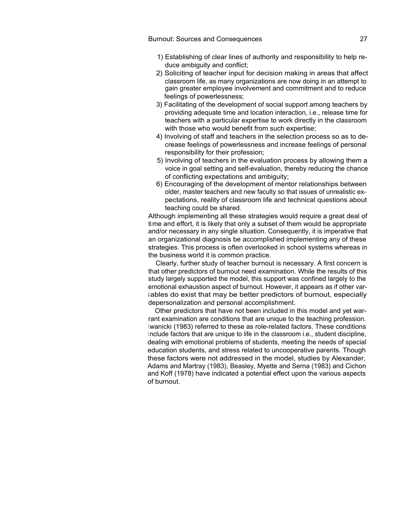- 1) Establishing of clear lines of authority and responsibility to help reduce ambiguity and conflict;
- 2) Soliciting of teacher input for decision making in areas that affect classroom life, as many organizations are now doing in an attempt to gain greater employee involvement and commitment and to reduce feelings of powerlessness;
- 3) Facilitating of the development of social support among teachers by providing adequate time and location interaction, i.e., release time for teachers with a particular expertise to work directly in the classroom with those who would benefit from such expertise:
- 4) Involving of staff and teachers in the selection process so as to decrease feelings of powerlessness and increase feelings of personal responsibility for their profession;
- 5) Involving of teachers in the evaluation process by allowing them a voice in goal setting and self-evaluation, thereby reducing the chance of conflicting expectations and ambiguity;
- 6) Encouraging of the development of mentor relationships between older, master teachers and new faculty so that issues of unrealistic expectations, reality of classroom life and technical questions about teaching could be shared.

Although implementing all these strategies would require a great deal of time and effort, it is likely that only a subset of them would be appropriate and/or necessary in any single situation. Consequently, it is imperative that an organizational diagnosis be accomplished implementing any of these strategies. This process is often overlooked in school systems whereas in the business world it is common practice.

Clearly, further study of teacher burnout is necessary. A first concern is that other predictors of burnout need examination. While the results of this study largely supported the model, this support was confined largely to the emotional exhaustion aspect of burnout. However, it appears as if other variables do exist that may be better predictors of burnout, especially depersonalization and personal accomplishment.

Other predictors that have not been included in this model and yet warrant examination are conditions that are unique to the teaching profession. Iwanicki (1983) referred to these as role-related factors. These conditions include factors that are unique to life in the classroom i.e., student discipline, dealing with emotional problems of students, meeting the needs of special education students, and stress related to uncooperative parents. Though these factors were not addressed in the model, studies by Alexander, Adams and Martray (1983), Beasley, Myette and Serna (1983) and Cichon and Koff (1978) have indicated a potential effect upon the various aspects of burnout.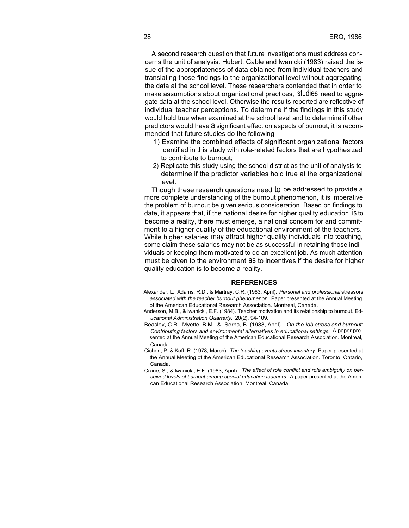A second research question that future investigations must address concerns the unit of analysis. Hubert, Gable and lwanicki (1983) raised the issue of the appropriateness of data obtained from individual teachers and translating those findings to the organizational level without aggregating the data at the school level. These researchers contended that in order to make assumptions about organizational practices, studies need to aggregate data at the school level. Otherwise the results reported are reflective of individual teacher perceptions. To determine if the findings in this study would hold true when examined at the school level and to determine if other predictors would have a significant effect on aspects of burnout, it is recommended that future studies do the following

- 1) Examine the combined effects of significant organizational factors identified in this study with role-related factors that are hypothesized to contribute to burnout;
- 2) Replicate this study using the school district as the unit of analysis to determine if the predictor variables hold true at the organizational level.

Though these research questions need to be addressed to provide a more complete understanding of the burnout phenomenon, it is imperative the problem of burnout be given serious consideration. Based on findings to date, it appears that, if the national desire for higher quality education is to become a reality, there must emerge, a national concern for and commitment to a higher quality of the educational environment of the teachers. While higher salaries may attract higher quality individuals into teaching, some claim these salaries may not be as successful in retaining those individuals or keeping them motivated to do an excellent job. As much attention must be given to the environment as to incentives if the desire for higher quality education is to become a reality.

#### **REFERENCES**

- Alexander, L., Adams, R.D., & Martray, C.R. (1983, April). *Personal and professional* stressors *associated with the teacher burnout phenomenon.* Paper presented at the Annual Meeting of the American Educational Research Association. Montreal, Canada.
- Anderson, M.B., & lwanicki, E.F. (1984). Teacher motivation and its relationship to burnout. Ed*ucational Administration Quarterly,* 20(2), 94-109.
- Beasley, C.R., Myette, B.M., &- Serna, B. (1983, April). *On-the-job stress and burnout: Contributing factors and environmental alternatives in educational settings.* A paper presented at the Annual Meeting of the American Educational Research Association. Montreal, Canada.
- Cichon, P. & Koff, R. (1978, March). *The teaching events stress inventory.* Paper presented at the Annual Meeting of the American Educational Research Association. Toronto, Ontario, Canada.
- Crane, S., & lwanicki, E.F. (1983, April). *The effect of role conflict and role ambiguity on perceived levels of burnout among special education teachers.* A paper presented at the American Educational Research Association. Montreal, Canada.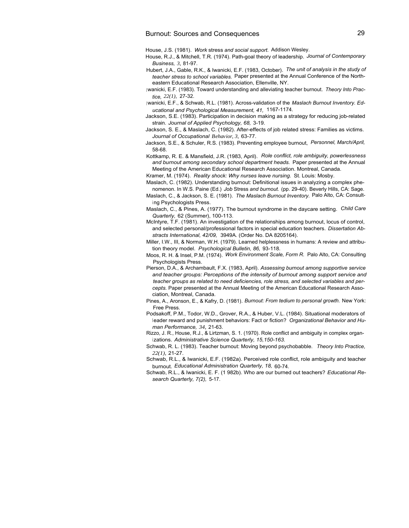House, J.S. (1981). *Work* stress *and social support.* Addison Wesley.

- House, R.J., & Mitchell, T.R. (1974). Path-goal theory of leadership. *Journal of Contemporary Business, 3,* 81-97.
- Hubert, J.A., Gable, R.K., & Iwanicki, E.F. (1983, October). *The unit of analysis in the study of teacher stress to school variables.* Paper presented at the Annual Conference of the Northeastern Educational Research Association, Ellenville, NY.
- <sup>I</sup> wanicki, E.F. (1983). Toward understanding and alleviating teacher burnout. *Theory Into Practice, 22(1),* 27-32.
- <sup>I</sup> wanicki, E.F., & Schwab, R.L. (1981). Across-validation of the *Maslach Burnout Inventory. Educational and Psychological Measurement, 41,* 1167-1174.
- Jackson, S.E. (1983). Participation in decision making as a strategy for reducing job-related strain. *Journal of Applied Psychology, 68,* 3-19.
- Jackson, S. E., & Maslach, C. (1982). After-effects of job related stress: Families as victims. *Journal of Occupational Behavior, 3,* 63-77.
- Jackson, S.E., & Schuler, R.S. (1983). Preventing employee burnout, *Personnel, March/April,* 58-68.
- Kottkamp, R. E. & Mansfield, J.R. (1983, April). *Role conflict, role ambiguity, powerlessness and burnout among secondary school department heads.* Paper presented at the Annual Meeting of the American Educational Research Association. Montreal, Canada.

Kramer, M. (1974). *Reality shock: Why nurses leave nursing.* St. Louis: Mosby.

- Maslach, C. (1982). Understanding burnout: Definitional issues in analyzing a complex phenomenon. In W.S. Paine (Ed.) *Job* Stress *and burnout.* (pp. 29-40). Beverly Hills, CA: Sage.
- Maslach, C., & Jackson, S. E. (1981). *The Maslach Burnout Inventory.* Palo Alto, CA: Consult<sup>i</sup> ng Psychologists Press.
- Maslach, C., & Pines, A. (1977). The burnout syndrome in the daycare setting. *Child Care Quarterly,* 62 (Summer), 100-113.
- McIntyre, T.F. (1981). An investigation of the relationships among burnout, locus of control, and selected personal/professional factors in special education teachers. *Dissertation Abstracts International, 42/09,* 3949A. (Order No. DA 8205164).
- Miller, I.W., III, & Norman, W.H. (1979). Learned helplessness in humans: A review and attribution theory model. *Psychological Bulletin, 86,* 93-118.
- Moos, R. H. & Insel, P.M. (1974). *Work Environment Scale, Form R.* Palo Alto, CA: Consulting Psychologists Press.
- Pierson, D.A., & Archambault, F.X. (1983, April). *Assessing burnout among supportive service and teacher groups: Perceptions of the intensity of burnout among support service and teacher groups as related to need deficiencies, role stress, and selected variables and percepts.* Paper presented at the Annual Meeting of the American Educational Research Association, Montreal, Canada.
- Pines, A., Aronson, E., & Kafry, D. (1981). *Burnout: From tedium to personal growth.* New York: Free Press.
- Podsakoff, P.M., Todor, W.D., Grover, R.A., & Huber, V.L. (1984). Situational moderators of <sup>l</sup> eader reward and punishment behaviors: Fact or fiction? *Organizational Behavior and Human Performance, 34,* 21-63.
- Rizzo, J. R., House, R.J., & Lirtzman, S. 1. (1970). Role conflict and ambiguity in complex organ<sup>i</sup> zations. *Administrative Science Quarterly, 15,150-163.*
- Schwab, R. L. (1983). Teacher burnout: Moving beyond psychobabble. *Theory Into Practice, 22(1),* 21-27.
- Schwab, R.L., & Iwanicki, E.F. (1982a). Perceived role conflict, role ambiguity and teacher burnout. *Educational Administration Quarterly, 18,* 60-74.
- Schwab, R.L., & Iwanicki, E. F. (1 982b). Who are our burned out teachers? *Educational Research Quarterly, 7(2),* 5-17.